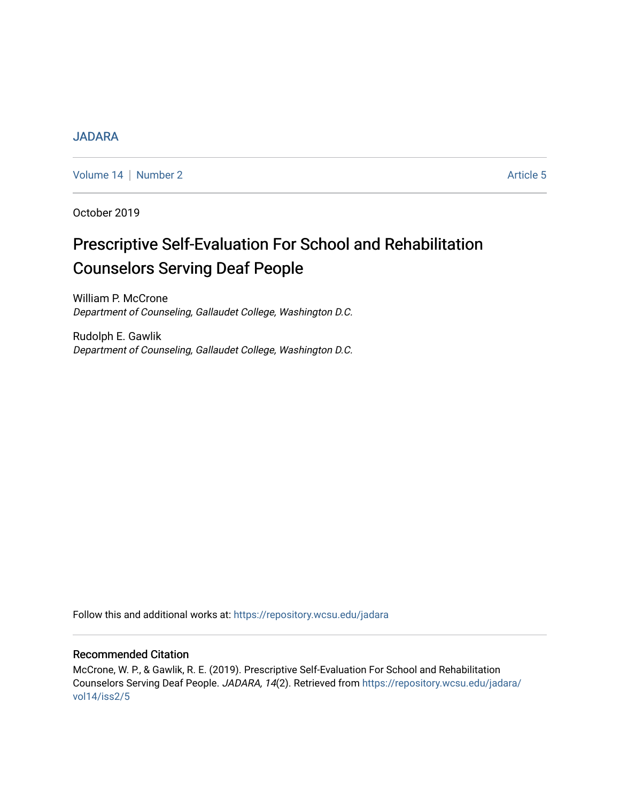# [JADARA](https://repository.wcsu.edu/jadara)

[Volume 14](https://repository.wcsu.edu/jadara/vol14) | [Number 2](https://repository.wcsu.edu/jadara/vol14/iss2) Article 5

October 2019

# Prescriptive Self-Evaluation For School and Rehabilitation Counselors Serving Deaf People

William P. McCrone Department of Counseling, Gallaudet College, Washington D.C.

Rudolph E. Gawlik Department of Counseling, Gallaudet College, Washington D.C.

Follow this and additional works at: [https://repository.wcsu.edu/jadara](https://repository.wcsu.edu/jadara?utm_source=repository.wcsu.edu%2Fjadara%2Fvol14%2Fiss2%2F5&utm_medium=PDF&utm_campaign=PDFCoverPages)

# Recommended Citation

McCrone, W. P., & Gawlik, R. E. (2019). Prescriptive Self-Evaluation For School and Rehabilitation Counselors Serving Deaf People. JADARA, 14(2). Retrieved from [https://repository.wcsu.edu/jadara/](https://repository.wcsu.edu/jadara/vol14/iss2/5?utm_source=repository.wcsu.edu%2Fjadara%2Fvol14%2Fiss2%2F5&utm_medium=PDF&utm_campaign=PDFCoverPages) [vol14/iss2/5](https://repository.wcsu.edu/jadara/vol14/iss2/5?utm_source=repository.wcsu.edu%2Fjadara%2Fvol14%2Fiss2%2F5&utm_medium=PDF&utm_campaign=PDFCoverPages)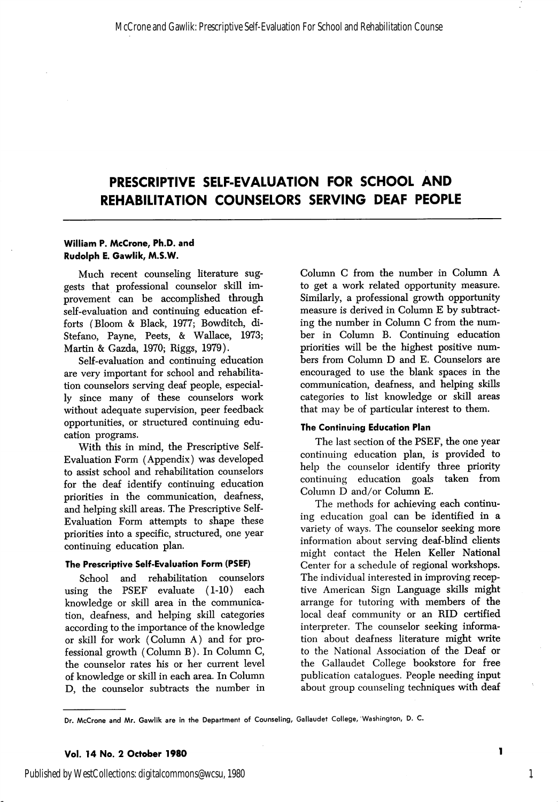# PRESCRIPTIVE SELF-EVALUATION FOR SCHOOL AND REHABILITATION COUNSELORS SERVING DEAF PEOPLE

### William P. McCrone, Ph.D. and Rudolph E. Gawlik, M.S.W.

Much recent counseling literature sug gests that professional counselor skill im provement can be accomplished through self-evaluation and continuing education ef forts (Bloom & Black, 1977; Bowditch, di-Stefano, Payne, Peets, & Wallace, 1973; Martin & Gazda, 1970; Biggs, 1979).

Self-evaluation and continuing education are very important for school and rehabilita tion counselors serving deaf people, especial ly since many of these counselors work without adequate supervision, peer feedback opportunities, or structured continuing edu cation programs.

With this in mind, the Prescriptive Self-Evaluation Form (Appendix) was developed to assist school and rehabilitation counselors for the deaf identify continuing education priorities in the communication, deafness, and helping skill areas. The Prescriptive Self-Evaluation Form attempts to shape these priorities into a specific, structured, one year continuing education plan.

#### The Prescriptive Self-Evaluation Form (PSEF)

School and rehabilitation counselors using the PSEF evaluate (1-10) each knowledge or skill area in the communica tion, deafness, and helping skill categories according to the importance of the knowledge or skill for work (Column A) and for pro fessional growth (Column B). In Column C, the counselor rates his or her current level of knowledge or skill in each area. In Column D, the counselor subtracts the number in

Column C from the number in Column A to get a work related opportunity measure. Similarly, a professional growth opportunity measure is derived in Column E by subtracting the number in Column C from the num ber in Column B. Continuing education priorities will be the highest positive num bers from Column D and E. Counselors are encouraged to use the blank spaces in the communication, deafness, and helping skills categories to list knowledge or skill areas that may be of particular interest to them.

### The Continuing Education Plan

The last section of the PSEF, the one year continuing education plan, is provided to help the counselor identify three priority continuing education goals taken from Column D and/or Column E.

The methods for achieving each continu ing education goal can be identified in a variety of ways. The counselor seeking more information about serving deaf-blind clients might contact the Helen Keller National Center for a schedule of regional workshops. The individual interested in improving recep tive American Sign Language skills might arrange for tutoring with members of the local deaf community or an RID certified interpreter. The counselor seeking informa tion about deafness literature might write to the National Association of the Deaf or the Callaudet College bookstore for free publication catalogues. People needing input about group counseling techniques with deaf

Dr. McCrone and Mr. Gawlik are in the Department of Counseling, Gallaudet College, 'Washington, D. C.

ľ

1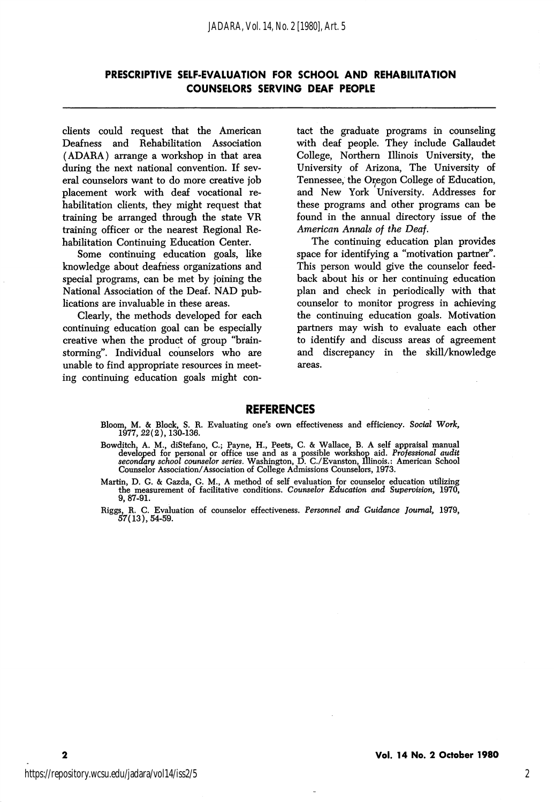## PRESCRIPTIVE SELF-EVALUATION FOR SCHOOL AND REHABILITATION COUNSELORS SERVING DEAF PEOPLE

clients could request that the American Deafness and Rehabilitation Association (ADARA) arrange a workshop in that area during the next national convention. If sev eral counselors want to do more creative job placement work with deaf vocational re habilitation clients, they might request that training be arranged through the state VR training officer or the nearest Regional Re habilitation Continuing Education Center.

Some continuing education goals, like knowledge about deafness organizations and special programs, can be met by joining the National Association of the Deaf. NAD pub lications are invaluable in these areas.

Clearly, the methods developed for each continuing education goal can be especially creative when the product of group "brainstorming\*'. Individual counselors who are unable to find appropriate resources in meet ing continuing education goals might con

tact the graduate programs in counseling with deaf people. They include Gallaudet College, Northern Illinois University, the University of Arizona, The University of Tennessee, the Or^egon College of Education, and New York University. Addresses for these programs and other programs can be found in the annual directory issue of the American Annals of the Deaf.

The continuing education plan provides space for identifying a "motivation partner". This person would give the counselor feed back about his or her continuing education plan and check in periodically with that counselor to monitor progress in achieving the continuing education goals. Motivation partners may wish to evaluate each other to identify and discuss areas of agreement and discrepancy in the skill/knowledge areas.

#### REFERENCES

- Bloom, M. & Block, S. R. Evaluating one's own effectiveness and efficiency. Social Work, 1977, 22(2), 130-136.
- Bowditch, A. M., diStefano, C.; Payne, H., Peets, C. & Wallace, B. A self appraisal manual developed for personal or office use and as a possible workshop aid. Professional audit secondary school counselor series. Washingt Counselor Association/Association of College Admissions Counselors, 1973.
- Martin, D. G. & Gazda, G. M., A method of self evaluation for counselor education utilizing the measurement of facilitative conditions. Counselor Education and Supervision, 1970, 9, 87-91.
- Riggs, R. C. Evaluation of counselor effectiveness. Personnel and Guidance Journal, 1979, 57(13),54-59.

 $\mathbf{2}$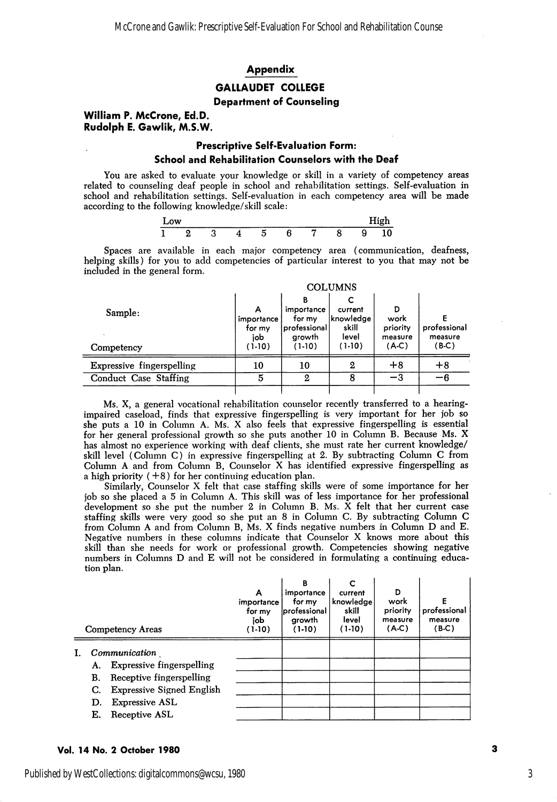#### Appendix

## GALLAUDET COLLEGE

#### Department of Counseling

#### William P. McCrone, Ed.D. Rudolph E. Gawlik, M.S.W.

Ē,

## Prescriptive Self-Evaluation Form: School and Rehabilitation Counselors with the Deaf

You are asked to evaluate your knowledge or skill in a variety of competency areas related to counseling deaf people in school and rehabilitation settings. Self-evaluation in school and rehabilitation settings. Self-evaluation in each competency area will be made according to the following knowledge/skill scale:

| -<br>Low |  |  |  | --- |  |
|----------|--|--|--|-----|--|
|          |  |  |  |     |  |

Spaces are available in each major competency area (communication, deafness, helping skills) for you to add competencies of particular interest to you that may not be included in the general form.

|                                  | <b>COLUMNS</b>              |                                                     |                                         |                                  |                         |  |  |  |
|----------------------------------|-----------------------------|-----------------------------------------------------|-----------------------------------------|----------------------------------|-------------------------|--|--|--|
| Sample:                          | importance<br>for my<br>iob | в<br>importance<br>for my<br>professional<br>growth | current<br>Iknowledge<br>skill<br>level | D<br>work<br>priority<br>measure | professional<br>measure |  |  |  |
| Competency                       | $(1-10)$                    | $(1-10)$                                            | $(1-10)$                                | $(A-C)$                          | $(B-C)$                 |  |  |  |
| <b>Expressive fingerspelling</b> | 10                          | 10                                                  | 2                                       | $+8$                             | $+8$                    |  |  |  |
| Conduct Case Staffing            | 5                           | 2                                                   | 8                                       | $-3$                             | -6                      |  |  |  |
|                                  |                             |                                                     |                                         |                                  |                         |  |  |  |

Ms. X, a general vocational rehabilitation counselor recently transferred to a hearingimpaired caseload, finds that expressive fingerspelling is very important for her job so she puts a 10 in Column A. Ms. X also feels that expressive fingerspelling is essential for her general professional growth so she puts another 10 in Column B. Because Ms. X has almost no experience working with deaf clients, she must rate her current knowledge/ skill level (Column C) in expressive fingerspelling at 2. By subtracting Column C from Column A and from Column B, Counselor X has identified expressive fingerspelling as a high priority  $(+8)$  for her continuing education plan.

Similarly, Counselor X felt that case staffing skills were of some importance for her job so she placed a 5 in Column A. This skill was of less importance for her professional development so she put the number 2 in Column B. Ms. X felt that her current case staffing skills were very good so she put an 8 in Column C. By subtracting Column C from Column A and from Column B, Ms. X finds negative numbers in Column D and E. Negative numbers in these columns indicate that Counselor X knows more about this skill than she needs for work or professional growth. Competencies showing negative numbers in Columns D and E will not be considered in formulating a continuing educa tion plan.

|    | <b>Competency Areas</b>                                                                                                                                                            | А<br>importance<br>for my<br>job<br>(1-10) | в<br>importance<br>for my<br>professional<br>arowth<br>$(1-10)$ | C<br>current<br>knowledge<br>skill<br>level<br>$(1-10)$ | D<br>work<br>priority<br>measure<br>(A.C) | Е<br>professional<br>measure<br>(B.C) |
|----|------------------------------------------------------------------------------------------------------------------------------------------------------------------------------------|--------------------------------------------|-----------------------------------------------------------------|---------------------------------------------------------|-------------------------------------------|---------------------------------------|
| I. | Communication<br><b>Expressive fingerspelling</b><br>А.<br>Receptive fingerspelling<br>B.<br>Expressive Signed English<br>C.<br><b>Expressive ASL</b><br>D.<br>Receptive ASL<br>Е. |                                            |                                                                 |                                                         |                                           |                                       |

#### Vol. 14 No. 2 October 1980

3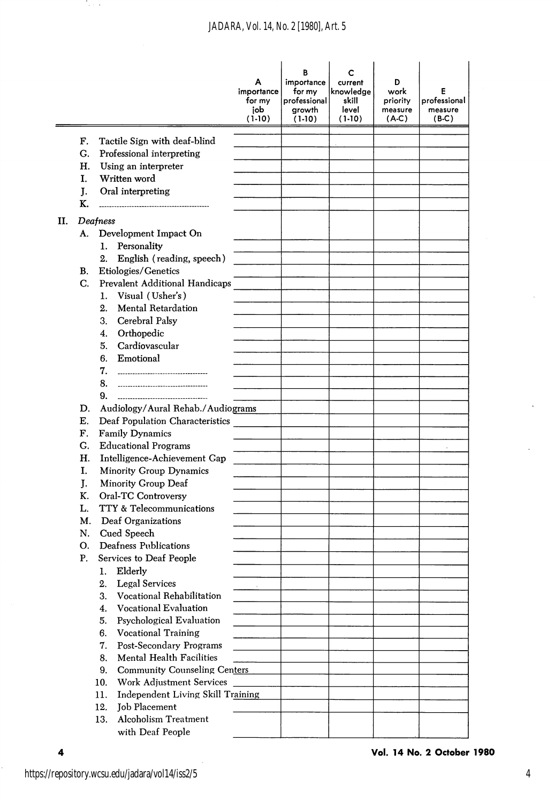|    |    |                                                        | Α<br>importance<br>for my<br>job<br>$(1-10)$ | B<br>importance<br>for my<br>professional<br>growth<br>$(1-10)$ | c<br>current<br>knowledge<br>skill<br>level<br>$(1-10)$ | D<br>work<br>priority<br>measure<br>(A-C) | E<br>professional<br>measure<br>$(B-C)$ |
|----|----|--------------------------------------------------------|----------------------------------------------|-----------------------------------------------------------------|---------------------------------------------------------|-------------------------------------------|-----------------------------------------|
|    | F. | Tactile Sign with deaf-blind                           |                                              |                                                                 |                                                         |                                           |                                         |
|    | G. | Professional interpreting                              |                                              |                                                                 |                                                         |                                           |                                         |
|    | Η. | Using an interpreter                                   |                                              |                                                                 |                                                         |                                           |                                         |
|    | Ι. | Written word                                           |                                              |                                                                 |                                                         |                                           |                                         |
|    | J. | Oral interpreting                                      |                                              |                                                                 |                                                         |                                           |                                         |
|    | К. |                                                        |                                              |                                                                 |                                                         |                                           |                                         |
| Н. |    | Deafness                                               |                                              |                                                                 |                                                         |                                           |                                         |
|    | A. | Development Impact On                                  |                                              |                                                                 |                                                         |                                           |                                         |
|    |    | 1.<br>Personality                                      |                                              |                                                                 |                                                         |                                           |                                         |
|    |    | English (reading, speech)<br>2.                        |                                              |                                                                 |                                                         |                                           |                                         |
|    | В. | Etiologies/Genetics                                    |                                              |                                                                 |                                                         |                                           |                                         |
|    | C. | Prevalent Additional Handicaps                         |                                              |                                                                 |                                                         |                                           |                                         |
|    |    | 1. Visual (Usher's)                                    |                                              |                                                                 |                                                         |                                           |                                         |
|    |    | <b>Mental Retardation</b><br>2.                        |                                              |                                                                 |                                                         |                                           |                                         |
|    |    | Cerebral Palsy<br>3.                                   |                                              |                                                                 |                                                         |                                           |                                         |
|    |    | Orthopedic<br>4.                                       |                                              |                                                                 |                                                         |                                           |                                         |
|    |    | Cardiovascular<br>5.                                   |                                              |                                                                 |                                                         |                                           |                                         |
|    |    | Emotional<br>6.                                        |                                              |                                                                 |                                                         |                                           |                                         |
|    |    | 7.<br>-----------------------------------              |                                              |                                                                 |                                                         |                                           |                                         |
|    |    | 8.<br>---------------------------------                |                                              |                                                                 |                                                         |                                           |                                         |
|    |    | 9.<br>------------------------------------             |                                              |                                                                 |                                                         |                                           |                                         |
|    | D. | Audiology/Aural Rehab./Audiograms                      |                                              |                                                                 |                                                         |                                           |                                         |
|    | Е. | Deaf Population Characteristics                        |                                              |                                                                 |                                                         |                                           |                                         |
|    | F. | <b>Family Dynamics</b>                                 |                                              |                                                                 |                                                         |                                           |                                         |
|    | G. | <b>Educational Programs</b>                            |                                              |                                                                 |                                                         |                                           |                                         |
|    | Н. | Intelligence-Achievement Gap                           |                                              |                                                                 |                                                         |                                           |                                         |
|    | I. | Minority Group Dynamics                                |                                              |                                                                 |                                                         |                                           |                                         |
|    | J. | Minority Group Deaf                                    |                                              |                                                                 |                                                         |                                           |                                         |
|    | К. | Oral-TC Controversy                                    |                                              |                                                                 |                                                         |                                           |                                         |
|    | L. | TTY & Telecommunications                               |                                              |                                                                 |                                                         |                                           |                                         |
|    | М. | Deaf Organizations                                     |                                              |                                                                 |                                                         |                                           |                                         |
|    | N. | Cued Speech                                            |                                              |                                                                 |                                                         |                                           |                                         |
|    | О. | Deafness Publications                                  |                                              |                                                                 |                                                         |                                           |                                         |
|    | Ρ. | Services to Deaf People                                |                                              |                                                                 |                                                         |                                           |                                         |
|    |    | Elderly<br>1.                                          |                                              |                                                                 |                                                         |                                           |                                         |
|    |    | 2.<br><b>Legal Services</b>                            |                                              |                                                                 |                                                         |                                           |                                         |
|    |    | 3.<br>Vocational Rehabilitation                        |                                              |                                                                 |                                                         |                                           |                                         |
|    |    | <b>Vocational Evaluation</b><br>4.                     |                                              |                                                                 |                                                         |                                           |                                         |
|    |    | Psychological Evaluation<br>5.                         |                                              |                                                                 |                                                         |                                           |                                         |
|    |    | 6.<br><b>Vocational Training</b>                       |                                              |                                                                 |                                                         |                                           |                                         |
|    |    | Post-Secondary Programs<br>7.                          |                                              |                                                                 |                                                         |                                           |                                         |
|    |    | Mental Health Facilities<br>8.                         |                                              |                                                                 |                                                         |                                           |                                         |
|    |    | 9.<br><b>Community Counseling Centers</b>              |                                              |                                                                 |                                                         |                                           |                                         |
|    |    | 10.<br>Work Adjustment Services                        |                                              |                                                                 |                                                         |                                           |                                         |
|    |    | Independent Living Skill Training<br>11.               |                                              |                                                                 |                                                         |                                           |                                         |
|    |    | 12.<br><b>Job Placement</b>                            |                                              |                                                                 |                                                         |                                           |                                         |
|    |    | <b>Alcoholism Treatment</b><br>13.<br>with Deaf People |                                              |                                                                 |                                                         |                                           |                                         |

Tale 4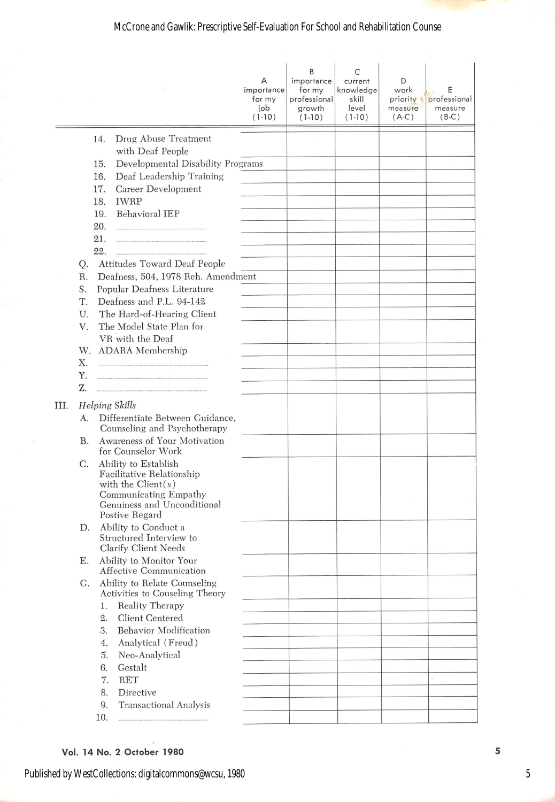# McCrone and Gawlik: Prescriptive Self-Evaluation For School and Rehabilitation Counse

|      |           |     |                                                                                                                                                     | A<br>importance<br>for my<br>job<br>$(1-10)$ | B<br>importance<br>for my<br>professional<br>growth<br>$(1-10)$ | C<br>current<br>knowledge<br>skill<br>level<br>$(1-10)$ | D<br>work<br>priority &<br>measure<br>$(A-C)$ | E<br>professional<br>measure<br>$(B-C)$ |
|------|-----------|-----|-----------------------------------------------------------------------------------------------------------------------------------------------------|----------------------------------------------|-----------------------------------------------------------------|---------------------------------------------------------|-----------------------------------------------|-----------------------------------------|
|      |           | 14. | Drug Abuse Treatment                                                                                                                                |                                              |                                                                 |                                                         |                                               |                                         |
|      |           |     | with Deaf People                                                                                                                                    |                                              |                                                                 |                                                         |                                               |                                         |
|      |           | 15. | Developmental Disability Programs                                                                                                                   |                                              |                                                                 |                                                         |                                               |                                         |
|      |           | 16. | Deaf Leadership Training                                                                                                                            |                                              |                                                                 |                                                         |                                               |                                         |
|      |           | 17. | Career Development                                                                                                                                  |                                              |                                                                 |                                                         |                                               |                                         |
|      |           | 18. | IWRP                                                                                                                                                |                                              |                                                                 |                                                         |                                               |                                         |
|      |           | 19. | Behavioral IEP                                                                                                                                      |                                              |                                                                 |                                                         |                                               |                                         |
|      |           | 20. | -----------------------------------                                                                                                                 |                                              |                                                                 |                                                         |                                               |                                         |
|      |           | 21. | ------------------------------------                                                                                                                |                                              |                                                                 |                                                         |                                               |                                         |
|      |           | 22. |                                                                                                                                                     |                                              |                                                                 |                                                         |                                               |                                         |
|      | Q.        |     | Attitudes Toward Deaf People                                                                                                                        |                                              |                                                                 |                                                         |                                               |                                         |
|      | R.        |     | Deafness, 504, 1978 Reh. Amendment                                                                                                                  |                                              |                                                                 |                                                         |                                               |                                         |
|      | S.<br>Т.  |     | Popular Deafness Literature<br>Deafness and P.L. 94-142                                                                                             |                                              |                                                                 |                                                         |                                               |                                         |
|      | U.        |     | The Hard-of-Hearing Client                                                                                                                          |                                              |                                                                 |                                                         |                                               |                                         |
|      | V.        |     | The Model State Plan for                                                                                                                            |                                              |                                                                 |                                                         |                                               |                                         |
|      |           |     | VR with the Deaf                                                                                                                                    |                                              |                                                                 |                                                         |                                               |                                         |
|      |           |     | W. ADARA Membership                                                                                                                                 |                                              |                                                                 |                                                         |                                               |                                         |
|      | Х.        |     |                                                                                                                                                     |                                              |                                                                 |                                                         |                                               |                                         |
|      | Y.        |     |                                                                                                                                                     |                                              |                                                                 |                                                         |                                               |                                         |
|      | Z.        |     |                                                                                                                                                     |                                              |                                                                 |                                                         |                                               |                                         |
| III. |           |     | <b>Helping Skills</b>                                                                                                                               |                                              |                                                                 |                                                         |                                               |                                         |
|      | А.        |     | Differentiate Between Guidance,<br>Counseling and Psychotherapy                                                                                     |                                              |                                                                 |                                                         |                                               |                                         |
|      | <b>B.</b> |     | Awareness of Your Motivation<br>for Counselor Work                                                                                                  |                                              |                                                                 |                                                         |                                               |                                         |
|      | С.        |     | Ability to Establish<br>Facilitative Relationship<br>with the $Client(s)$<br>Communicating Empathy<br>Genuiness and Unconditional<br>Postive Regard |                                              |                                                                 |                                                         |                                               |                                         |
|      | D.        |     | Ability to Conduct a<br>Structured Interview to<br>Clarify Client Needs                                                                             |                                              |                                                                 |                                                         |                                               |                                         |
|      | Ε.        |     | Ability to Monitor Your<br>Affective Communication                                                                                                  |                                              |                                                                 |                                                         |                                               |                                         |
|      | G.        |     | Ability to Relate Counseling<br>Activities to Couseling Theory                                                                                      |                                              |                                                                 |                                                         |                                               |                                         |
|      |           | 1.  | <b>Reality Therapy</b>                                                                                                                              |                                              |                                                                 |                                                         |                                               |                                         |
|      |           | 2.  | Client Centered                                                                                                                                     |                                              |                                                                 |                                                         |                                               |                                         |
|      |           | 3.  | Behavior Modification                                                                                                                               |                                              |                                                                 |                                                         |                                               |                                         |
|      |           | 4.  | Analytical (Freud)                                                                                                                                  |                                              |                                                                 |                                                         |                                               |                                         |
|      |           | 5.  | Neo-Analytical                                                                                                                                      |                                              |                                                                 |                                                         |                                               |                                         |
|      |           | 6.  | Gestalt                                                                                                                                             |                                              |                                                                 |                                                         |                                               |                                         |
|      |           | 7.  | <b>RET</b>                                                                                                                                          |                                              |                                                                 |                                                         |                                               |                                         |
|      |           | 8.  | Directive                                                                                                                                           |                                              |                                                                 |                                                         |                                               |                                         |
|      |           | 9.  | Transactional Analysis                                                                                                                              |                                              |                                                                 |                                                         |                                               |                                         |
|      |           | 10. | ------------------------------------                                                                                                                |                                              |                                                                 |                                                         |                                               |                                         |

# Vol. 14 No. 2 October 1980

5

Published by WestCollections: digitalcommons@wcsu, 1980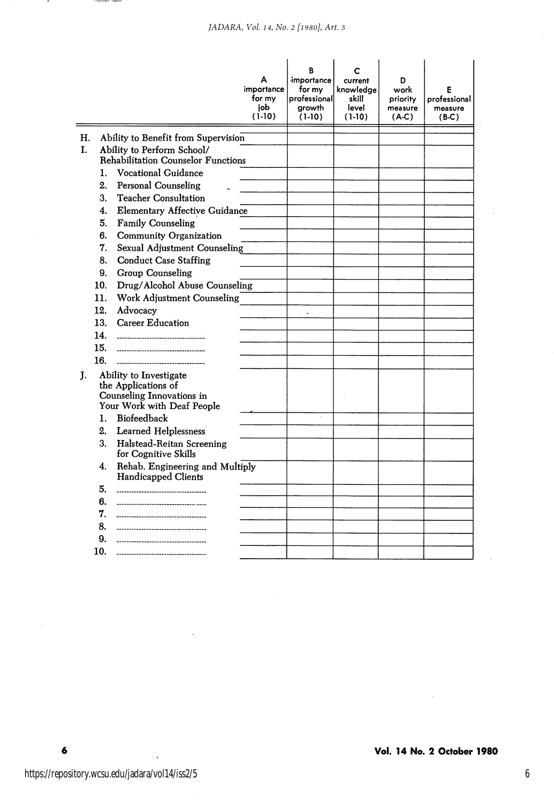|    |                |                                                                                                          | А<br>importance<br>for my<br>iob<br>$(1-10)$ | R.<br>importance<br>for my<br>professional<br>growth<br>$(1-10)$ | current<br>knowledae<br>skill<br>level<br>$(1-10)$ | D<br>work<br>priority<br>measure<br>$(A-C)$ | F<br>professional<br>measure<br>$(B-C)$ |
|----|----------------|----------------------------------------------------------------------------------------------------------|----------------------------------------------|------------------------------------------------------------------|----------------------------------------------------|---------------------------------------------|-----------------------------------------|
| Η. |                | Ability to Benefit from Supervision                                                                      |                                              |                                                                  |                                                    |                                             |                                         |
| L. |                | Ability to Perform School/                                                                               |                                              |                                                                  |                                                    |                                             |                                         |
|    |                | <b>Rehabilitation Counselor Functions</b>                                                                |                                              |                                                                  |                                                    |                                             |                                         |
|    | 1.             | <b>Vocational Guidance</b>                                                                               |                                              |                                                                  |                                                    |                                             |                                         |
|    | 2.             | <b>Personal Counseling</b>                                                                               |                                              |                                                                  |                                                    |                                             |                                         |
|    | 3.             | <b>Teacher Consultation</b>                                                                              |                                              |                                                                  |                                                    |                                             |                                         |
|    | 4.             | <b>Elementary Affective Guidance</b>                                                                     |                                              |                                                                  |                                                    |                                             |                                         |
|    | 5.             | <b>Family Counseling</b>                                                                                 |                                              |                                                                  |                                                    |                                             |                                         |
|    | 6.             | Community Organization                                                                                   |                                              |                                                                  |                                                    |                                             |                                         |
|    | 7.             | Sexual Adjustment Counseling                                                                             |                                              |                                                                  |                                                    |                                             |                                         |
|    | 8.             | <b>Conduct Case Staffing</b>                                                                             |                                              |                                                                  |                                                    |                                             |                                         |
|    | 9.             | Group Counseling                                                                                         |                                              |                                                                  |                                                    |                                             |                                         |
|    | 10.            | Drug/Alcohol Abuse Counseling                                                                            |                                              |                                                                  |                                                    |                                             |                                         |
|    | 11.            | Work Adjustment Counseling                                                                               |                                              |                                                                  |                                                    |                                             |                                         |
|    | 12.            | Advocacy                                                                                                 |                                              | $\ddot{\phantom{0}}$                                             |                                                    |                                             |                                         |
|    | 13.            | <b>Career Education</b>                                                                                  |                                              |                                                                  |                                                    |                                             |                                         |
|    | 14.            | ----------------------------------                                                                       |                                              |                                                                  |                                                    |                                             |                                         |
|    | 15.            | --------------------------------------                                                                   |                                              |                                                                  |                                                    |                                             |                                         |
|    | 16.            |                                                                                                          |                                              |                                                                  |                                                    |                                             |                                         |
| T. |                | Ability to Investigate<br>the Applications of<br>Counseling Innovations in<br>Your Work with Deaf People |                                              |                                                                  |                                                    |                                             |                                         |
|    | $\mathbf{1}$ . | Biofeedback                                                                                              |                                              |                                                                  |                                                    |                                             |                                         |
|    | 2.             | <b>Learned Helplessness</b>                                                                              |                                              |                                                                  |                                                    |                                             |                                         |
|    | 3.             | Halstead-Reitan Screening<br>for Cognitive Skills                                                        |                                              |                                                                  |                                                    |                                             |                                         |
|    | 4.             | Rehab. Engineering and Multiply<br><b>Handicapped Clients</b>                                            |                                              |                                                                  |                                                    |                                             |                                         |
|    | 5.             | ------------------------------                                                                           |                                              |                                                                  |                                                    |                                             |                                         |
|    | 6.             |                                                                                                          |                                              |                                                                  |                                                    |                                             |                                         |
|    | 7.             | -----------------------------                                                                            |                                              |                                                                  |                                                    |                                             |                                         |
|    | 8.             |                                                                                                          |                                              |                                                                  |                                                    |                                             |                                         |
|    | 9.             | ------------------------------                                                                           |                                              |                                                                  |                                                    |                                             |                                         |
|    | 10.            |                                                                                                          |                                              |                                                                  |                                                    |                                             |                                         |

 $\sim$ 

 $\ddot{\phantom{a}}$ 

 $\ddot{\bullet}$ 

 $\bar{z}$ 

 $\sim$ 

 $\epsilon$